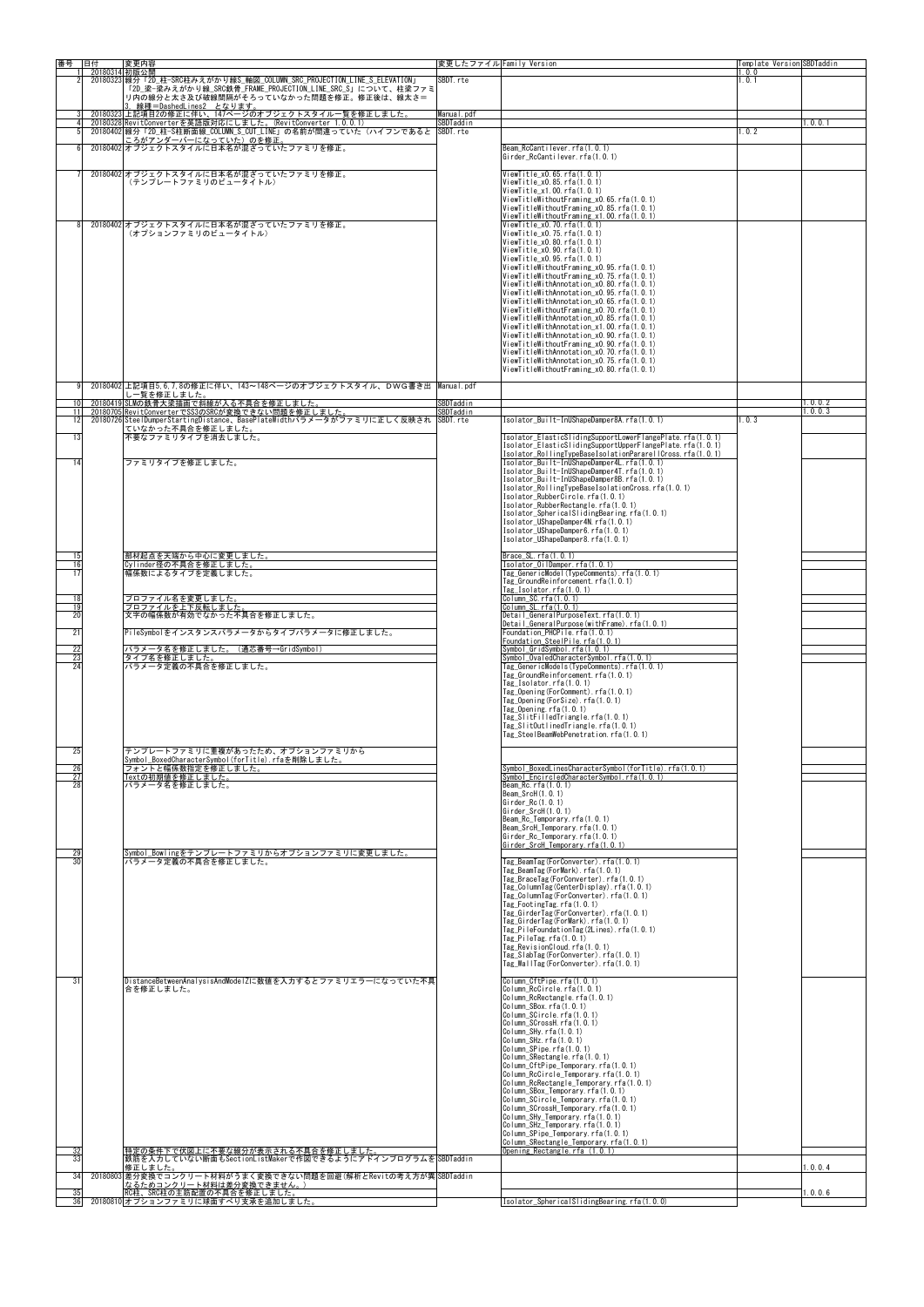| 番号                    | 旧付<br>20180314 初版公開 | 変更内容                                                                                                                                  | 変更したファイル Family Version |                                                                                                                        | Template Version SBDTaddin<br>1.0.0 |            |
|-----------------------|---------------------|---------------------------------------------------------------------------------------------------------------------------------------|-------------------------|------------------------------------------------------------------------------------------------------------------------|-------------------------------------|------------|
|                       |                     | 20180323 線分「2D 柱-SRC柱みえがかり線S 軸図 COLUMN SRC PROJECTION LINE S ELEVATION」<br>「2D_梁-梁みえがかり線_SRC鉄骨_FRAME_PROJECTION_LINE_SRC_S」について、柱梁ファミ | SBDT rte                |                                                                                                                        | .0.1                                |            |
|                       |                     | リ内の線分と太さ及び破線間隔がそろっていなかった問題を修正。修正後は、線太さ=<br>3. 線種=DashedLines2 となります。                                                                  |                         |                                                                                                                        |                                     |            |
|                       |                     | 20180323 上記項目2の修正に伴い、147ページのオブジェクトスタイル一覧を修正しました。<br>20180328 RevitConverterを英語版対応にしました。(RevitConverter 1.0.0.1)                       | Manual.pdf<br>SBDTaddin |                                                                                                                        |                                     | 1.0.0.1    |
|                       |                     | 20180402 線分「2D_柱-S柱断面線_COLUMN_S_CUT_LINE」の名前が間違っていた(ハイフンであると<br>ころがアンダーバーになっていた)のを修正。                                                 | SBDT.rte                |                                                                                                                        | .0.2                                |            |
|                       |                     | 20180402 オブジェクトスタイルに日本名が混ざっていたファミリを修正。                                                                                                |                         | Beam RcCantilever.rfa(1.0.1)<br>Girder RcCantilever.rfa(1.0.1)                                                         |                                     |            |
|                       |                     | 20180402 オブジェクトスタイルに日本名が混ざっていたファミリを修正。                                                                                                |                         | ViewTitle $x0.65$ . rfa $(1, 0, 1)$                                                                                    |                                     |            |
|                       |                     | (テンプレートファミリのビュータイトル)                                                                                                                  |                         | ViewTitle x0.85.rfa(1.0.1)<br>ViewTitle x1.00. rfa(1.0.1)                                                              |                                     |            |
|                       |                     |                                                                                                                                       |                         | ViewTitleWithoutFraming x0.65.rfa(1.0.1)<br>ViewTitleWithoutFraming x0.85.rfa(1.0.1)                                   |                                     |            |
|                       |                     | 20180402 オブジェクトスタイルに日本名が混ざっていたファミリを修正。                                                                                                |                         | $V$ iew $T$ itleWithout $F$ raming x1.00. rfa $(1, 0, 1)$<br>ViewTitle x0.70. rfa(1.0.1)                               |                                     |            |
|                       |                     | (オプションファミリのビュータイトル)                                                                                                                   |                         | ViewTitle x0.75.rfa(1.0.1)<br>ViewTitle x0.80. rfa(1.0.1)                                                              |                                     |            |
|                       |                     |                                                                                                                                       |                         | ViewTitle x0.90.rfa(1.0.1)<br>ViewTitle x0.95. rfa(1.0.1)                                                              |                                     |            |
|                       |                     |                                                                                                                                       |                         | ViewTitleWithoutFraming x0.95.rfa(1.0.1)<br>ViewTitleWithoutFraming x0.75.rfa(1.0.1)                                   |                                     |            |
|                       |                     |                                                                                                                                       |                         | ViewTitleWithAnnotation x0.80. rfa(1.0.1)<br>ViewTitleWithAnnotation x0.95.rfa(1.0.1)                                  |                                     |            |
|                       |                     |                                                                                                                                       |                         | ViewTitleWithAnnotation x0.65.rfa(1.0.1)<br>ViewTitleWithoutFraming_x0.70.rfa(1.0.1)                                   |                                     |            |
|                       |                     |                                                                                                                                       |                         | ViewTitleWithAnnotation x0.85.rfa(1.0.1)<br>ViewTitleWithAnnotation x1.00. rfa(1.0.1)                                  |                                     |            |
|                       |                     |                                                                                                                                       |                         | ViewTitleWithAnnotation x0.90.rfa(1.0.1)<br>ViewTitleWithoutFraming x0.90.rfa(1.0.1)                                   |                                     |            |
|                       |                     |                                                                                                                                       |                         | ViewTitleWithAnnotation x0.70.rfa(1.0.1)<br>ViewTitleWithAnnotation x0.75.rfa(1.0.1)                                   |                                     |            |
|                       |                     |                                                                                                                                       |                         | ViewTitleWithoutFraming x0.80. rfa(1.0.1)                                                                              |                                     |            |
| 10                    |                     | 20180402 上記項目5.6.7.8の修正に伴い、143~148ページのオブジェクトスタイル、DWG書き出  Manual.pdf<br>しー覧を修正しました。<br>20180419 SLMの鉄骨大梁描画で斜線が入る不具合を修正しました。            | SBDTaddin               |                                                                                                                        |                                     | 1.0.0.2    |
| 11 <sup>1</sup><br>12 |                     | 20180705 RevitConverterでSS3のSRCが変換できない問題を修正しました。                                                                                      | SBDTaddin               | Isolator Built-InUShapeDamper8A.rfa(1.0.1)                                                                             |                                     | 1, 0, 0, 3 |
| 13                    |                     | 20180726 SteelDumperStartingDistance、BasePlateWidthパラメータがファミリに正しく反映され  SBDT rte<br>ていなかった不具合を修正しました。<br>不要なファミリタイプを消去しました。            |                         | Isolator ElasticSlidingSupportLowerFlangePlate.rfa(1.0.1)                                                              | 1, 0, 3                             |            |
|                       |                     |                                                                                                                                       |                         | Isolator_ElasticSlidingSupportUpperFlangePlate.rfa(1.0.1)<br>Isolator_RollingTypeBaseIsolationPararellCross.rfa(1.0.1) |                                     |            |
| 14                    |                     | ファミリタイプを修正しました。                                                                                                                       |                         | Isolator Built-InUShapeDamper4L.rfa(1.0.1)<br>Isolator_Built-InUShapeDamper4T.rfa(1.0.1)                               |                                     |            |
|                       |                     |                                                                                                                                       |                         | Isolator Built-InUShapeDamper8B.rfa(1.0.1)<br>Isolator RollingTypeBaseIsolationCross.rfa(1.0.1)                        |                                     |            |
|                       |                     |                                                                                                                                       |                         | Isolator_RubberCircle.rfa(1.0.1)<br>Isolator RubberRectangle. rfa(1.0.1)                                               |                                     |            |
|                       |                     |                                                                                                                                       |                         | Isolator Spherical Sliding Bearing, rfa(1,0,1)<br>Isolator_UShapeDamper4N.rfa(1.0.1)                                   |                                     |            |
|                       |                     |                                                                                                                                       |                         | Isolator_UShapeDamper6.rfa(1.0.1)<br>Isolator UShapeDamper8.rfa(1.0.1)                                                 |                                     |            |
| 15                    |                     | 部材起点を天端から中心に変更しました。                                                                                                                   |                         | Brace $SL.$ rfa $(1, 0, 1)$                                                                                            |                                     |            |
| 16<br>17              |                     | Cylinder径の不具合を修正しました。<br>幅係数によるタイプを定義しました。                                                                                            |                         | Isolator OilDamper.rfa(1.0.1)<br>Tag GenericModel(TypeComments).rfa(1.0.1)                                             |                                     |            |
|                       |                     |                                                                                                                                       |                         | Tag GroundReinforcement rfa(1.0.1)<br>Tag Isolator.rfa(1.0.1)                                                          |                                     |            |
| 18<br>19              |                     | プロファイル名を変更しました。<br>プロファイルを上下反転しました。                                                                                                   |                         | Column SC rfa(1.0.1)<br>$C$ olumn SL. $rfa(1, 0, 1)$                                                                   |                                     |            |
| 20                    |                     | 文字の幅係数が有効でなかった不具合を修正しました。                                                                                                             |                         | Detail GeneralPurposeText.rfa(1.0.1)<br>Detail GeneralPurpose (withFrame). rfa (1.0.1)                                 |                                     |            |
| 21                    |                     | PileSymbolをインスタンスパラメータからタイプパラメータに修正しました。                                                                                              |                         | Foundation PHCPile.rfa(1.0.1)<br>Foundation SteelPile rfa(1.0.1)                                                       |                                     |            |
| 22<br>23<br>24        |                     | パラメータ名を修正しました。(通芯番号→GridSvmbol)<br>タイプ名を修正しました。<br>パラメータ定義の不具合を修正しました。                                                                |                         | Symbol GridSymbol.rfa(1.0.1)<br>Symbol OvaledCharacterSymbol.rfa(1.0.1)<br>Tag GenericModels(TypeComments).rfa(1.0.1)  |                                     |            |
|                       |                     |                                                                                                                                       |                         | Tag GroundReinforcement.rfa(1.0.1)<br>Tag Isolator.rfa(1.0.1)                                                          |                                     |            |
|                       |                     |                                                                                                                                       |                         | Tag Opening (ForComment). rfa(1.0.1)<br>Tag Opening (ForSize) rfa(1.0.1)                                               |                                     |            |
|                       |                     |                                                                                                                                       |                         | Tag Opening. $rfa(1, 0, 1)$<br>Tag SlitFilledTriangle.rfa(1.0.1)                                                       |                                     |            |
|                       |                     |                                                                                                                                       |                         | Tag SlitOutlinedTriangle.rfa(1.0.1)<br>Tag SteelBeamWebPenetration.rfa(1.0.1)                                          |                                     |            |
| 25                    |                     | テンプレートファミリに重複があったため、オプションファミリから                                                                                                       |                         |                                                                                                                        |                                     |            |
| 26                    |                     | Symbol BoxedCharacterSymbol(forTitle).rfaを削除しました。<br>フォントと幅係数指定を修正しました。                                                               |                         | Symbol BoxedLinesCharacterSymbol(forTitle).rfa(1.0.1)                                                                  |                                     |            |
| 27<br>28              |                     | Textの初期値を修正しました。<br>パラメータ名を修正しました。                                                                                                    |                         | Symbol EncircledCharacterSymbol.rfa(1.0.1)<br>Beam Rc. rfa(1.0.1)                                                      |                                     |            |
|                       |                     |                                                                                                                                       |                         | Beam SrcH(1.0.1)<br>Girder $Re(1.0.1)$                                                                                 |                                     |            |
|                       |                     |                                                                                                                                       |                         | $Girder$ SrcH $(1.0.1)$<br>Beam Rc Temporary rfa(1.0.1)                                                                |                                     |            |
|                       |                     |                                                                                                                                       |                         | Beam SrcH Temporary rfa(1.0.1)<br>Girder Rc Temporary rfa(1.0.1)<br>Girder SrcH Temporary.rfa(1.0.1)                   |                                     |            |
| 29<br>30              |                     | Symbol_Bowlingをテンプレートファミリからオプションファミリに変更しました。<br>パラメータ定義の不具合を修正しました。                                                                   |                         | Tag BeamTag(ForConverter).rfa(1.0.1)                                                                                   |                                     |            |
|                       |                     |                                                                                                                                       |                         | Tag BeamTag(ForMark).rfa(1.0.1)<br>Tag BraceTag (ForConverter). rfa (1.0.1)                                            |                                     |            |
|                       |                     |                                                                                                                                       |                         | Tag ColumnTag (CenterDisplay).rfa(1.0.1)<br>Tag_ColumnTag(ForConverter).rfa(1.0.1)                                     |                                     |            |
|                       |                     |                                                                                                                                       |                         | Tag FootingTag rfa(1.0.1)<br>Tag GirderTag(ForConverter).rfa(1.0.1)                                                    |                                     |            |
|                       |                     |                                                                                                                                       |                         | Tag GirderTag(ForMark).rfa(1.0.1)<br>Tag PileFoundationTag(2Lines).rfa(1.0.1)                                          |                                     |            |
|                       |                     |                                                                                                                                       |                         | Tag PileTag.rfa(1.0.1)<br>Tag RevisionCloud.rfa(1.0.1)                                                                 |                                     |            |
|                       |                     |                                                                                                                                       |                         | Tag SlabTag(ForConverter).rfa(1.0.1)<br>Tag WallTag(ForConverter).rfa(1.0.1)                                           |                                     |            |
| 31                    |                     | DistanceBetweenAnalysisAndModelZに数値を入力するとファミリエラーになっていた不具                                                                              |                         | Column CftPipe rfa(1.0.1)                                                                                              |                                     |            |
|                       |                     | 合を修正しました。                                                                                                                             |                         | Column RcCircle.rfa(1.0.1)<br>Column RcRectangle.rfa(1.0.1)                                                            |                                     |            |
|                       |                     |                                                                                                                                       |                         | Column_SBox.rfa(1.0.1)<br>Column SCircle.rfa(1.0.1)                                                                    |                                     |            |
|                       |                     |                                                                                                                                       |                         | Column SCrossH.rfa(1.0.1)<br>Column SHy.rfa(1.0.1)                                                                     |                                     |            |
|                       |                     |                                                                                                                                       |                         | Column_SHz. rfa(1.0.1)<br>Column SPipe rfa(1.0.1)<br>Column SRectangle rfa(1.0.1)                                      |                                     |            |
|                       |                     |                                                                                                                                       |                         | Column CftPipe Temporary.rfa(1.0.1)<br>Column RcCircle Temporary rfa(1.0.1)                                            |                                     |            |
|                       |                     |                                                                                                                                       |                         | Column RcRectangle Temporary rfa(1.0.1)<br>Column SBox Temporary.rfa(1.0.1)                                            |                                     |            |
|                       |                     |                                                                                                                                       |                         | Column SCircle Temporary.rfa(1.0.1)<br>Column_SCrossH_Temporary.rfa(1.0.1)                                             |                                     |            |
|                       |                     |                                                                                                                                       |                         | Column_SHy_Temporary rfa(1.0.1)<br>Column SHz Temporary rfa(1.0.1)                                                     |                                     |            |
|                       |                     |                                                                                                                                       |                         | Column SPipe Temporary.rfa(1.0.1)<br>Column SRectangle Temporary.rfa(1.0.1)                                            |                                     |            |
| 32<br>33              |                     | 特定の条件下で伏図上に不要な線分が表示される不具合を修正しました。<br> 鉄筋を入力していない断面もSectionListMakerで作図できるようにアドインプログラムをSBDTaddin                                       |                         | Opening Rectangle.rfa (1.0.1)                                                                                          |                                     |            |
| 34                    |                     | 修正しました。<br>20180803 差分変換でコンクリート材料がうまく変換できない問題を回避 (解析とRevitの考え方が異 SBDTaddin                                                            |                         |                                                                                                                        |                                     | 1.0.0.4    |
| 35                    |                     | なるためコンクリート材料は差分変換できません。<br>RC柱、SRC柱の主筋配置の不具合を修正しました。                                                                                  |                         |                                                                                                                        |                                     | 1.0.0.6    |
| 36                    |                     | 20180810 オプションファミリに球面すべり支承を追加しました。                                                                                                    |                         | Isolator_SphericalSlidingBearing.rfa(1.0.0)                                                                            |                                     |            |